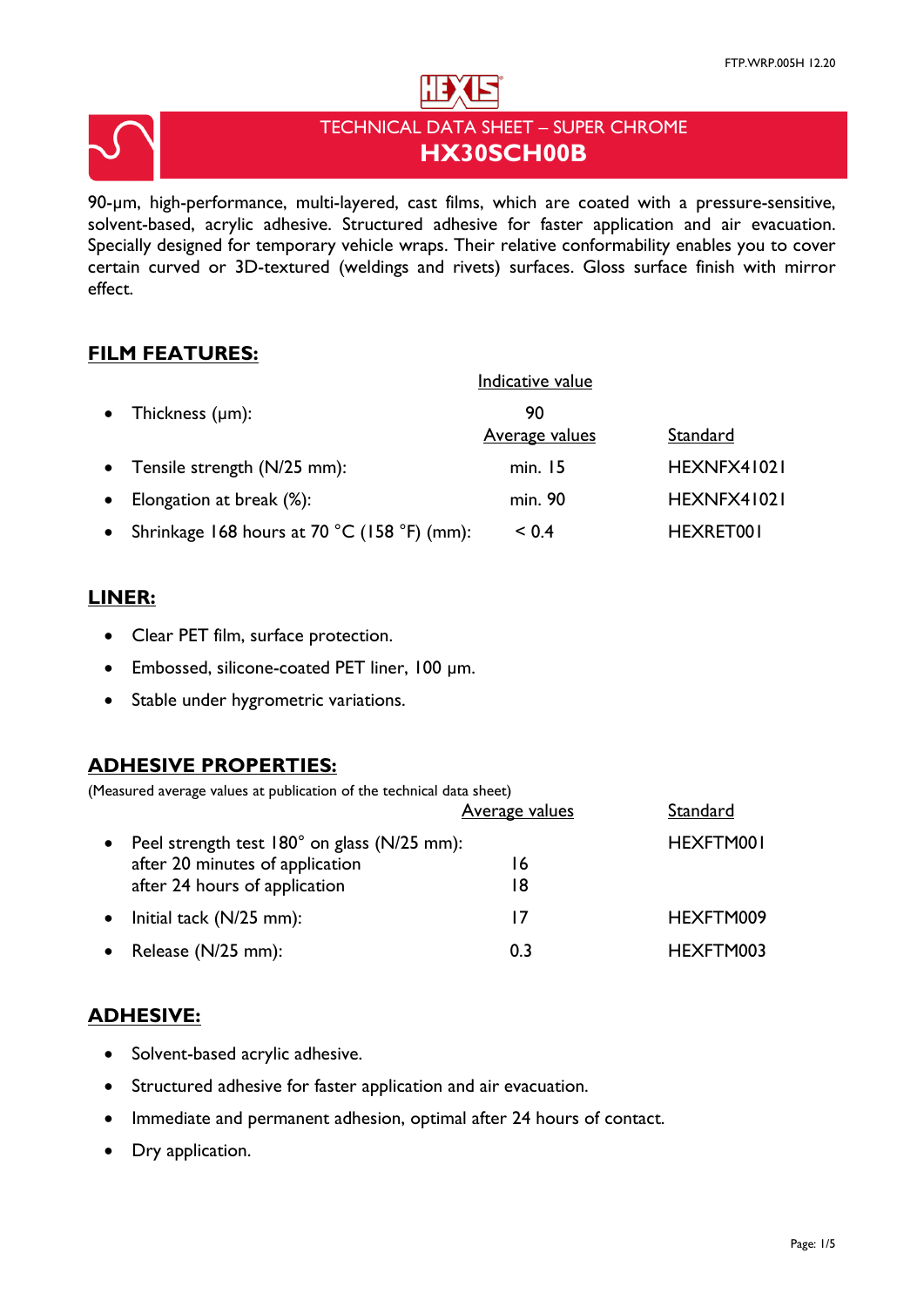



# TECHNICAL DATA SHEET – SUPER CHROME **HX30SCH00B**

90-µm, high-performance, multi-layered, cast films, which are coated with a pressure-sensitive, solvent-based, acrylic adhesive. Structured adhesive for faster application and air evacuation. Specially designed for temporary vehicle wraps. Their relative conformability enables you to cover certain curved or 3D-textured (weldings and rivets) surfaces. Gloss surface finish with mirror effect.

# **FILM FEATURES:**

|           |                                             | Indicative value      |             |
|-----------|---------------------------------------------|-----------------------|-------------|
| $\bullet$ | Thickness $(\mu m)$ :                       | 90                    |             |
|           |                                             | <b>Average values</b> | Standard    |
|           | • Tensile strength (N/25 mm):               | min. 15               | HEXNFX41021 |
| $\bullet$ | Elongation at break (%):                    | min. 90               | HEXNFX41021 |
| $\bullet$ | Shrinkage 168 hours at 70 °C (158 °F) (mm): | < 0.4                 | HEXRET001   |

# **LINER:**

- Clear PET film, surface protection.
- Embossed, silicone-coated PET liner, 100 µm.
- Stable under hygrometric variations.

# **ADHESIVE PROPERTIES:**

(Measured average values at publication of the technical data sheet)

|                                             | Average values | Standard  |
|---------------------------------------------|----------------|-----------|
| Peel strength test 180° on glass (N/25 mm): |                | HEXFTM001 |
| after 20 minutes of application             | 16             |           |
| after 24 hours of application               | 18             |           |
| Initial tack (N/25 mm):                     | 17             | HEXFTM009 |
| Release (N/25 mm):                          | 0.3            | HEXFTM003 |

# **ADHESIVE:**

- Solvent-based acrylic adhesive.
- Structured adhesive for faster application and air evacuation.
- Immediate and permanent adhesion, optimal after 24 hours of contact.
- Dry application.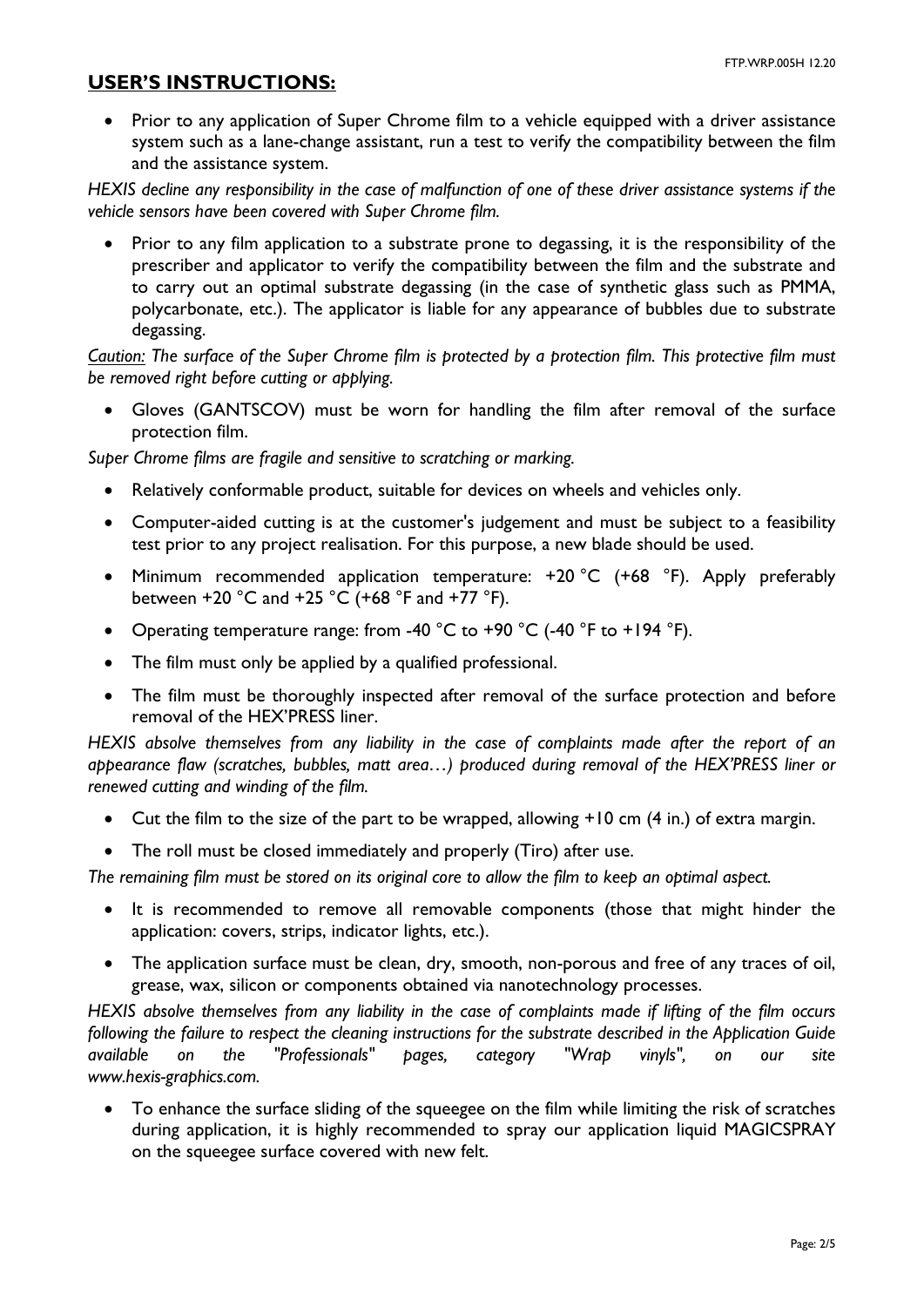### **USER'S INSTRUCTIONS:**

• Prior to any application of Super Chrome film to a vehicle equipped with a driver assistance system such as a lane-change assistant, run a test to verify the compatibility between the film and the assistance system.

*HEXIS decline any responsibility in the case of malfunction of one of these driver assistance systems if the vehicle sensors have been covered with Super Chrome film.*

• Prior to any film application to a substrate prone to degassing, it is the responsibility of the prescriber and applicator to verify the compatibility between the film and the substrate and to carry out an optimal substrate degassing (in the case of synthetic glass such as PMMA, polycarbonate, etc.). The applicator is liable for any appearance of bubbles due to substrate degassing.

*Caution: The surface of the Super Chrome film is protected by a protection film. This protective film must be removed right before cutting or applying.* 

• Gloves (GANTSCOV) must be worn for handling the film after removal of the surface protection film.

*Super Chrome films are fragile and sensitive to scratching or marking.*

- Relatively conformable product, suitable for devices on wheels and vehicles only.
- Computer-aided cutting is at the customer's judgement and must be subject to a feasibility test prior to any project realisation. For this purpose, a new blade should be used.
- Minimum recommended application temperature: +20 °C (+68 °F). Apply preferably between +20 °C and +25 °C (+68 °F and +77 °F).
- Operating temperature range: from -40  $^{\circ}$ C to +90  $^{\circ}$ C (-40  $^{\circ}$ F to +194  $^{\circ}$ F).
- The film must only be applied by a qualified professional.
- The film must be thoroughly inspected after removal of the surface protection and before removal of the HEX'PRESS liner.

*HEXIS absolve themselves from any liability in the case of complaints made after the report of an appearance flaw (scratches, bubbles, matt area…) produced during removal of the HEX'PRESS liner or renewed cutting and winding of the film.*

- Cut the film to the size of the part to be wrapped, allowing +10 cm (4 in.) of extra margin.
- The roll must be closed immediately and properly (Tiro) after use.

*The remaining film must be stored on its original core to allow the film to keep an optimal aspect.*

- It is recommended to remove all removable components (those that might hinder the application: covers, strips, indicator lights, etc.).
- The application surface must be clean, dry, smooth, non-porous and free of any traces of oil, grease, wax, silicon or components obtained via nanotechnology processes.

*HEXIS absolve themselves from any liability in the case of complaints made if lifting of the film occurs following the failure to respect the cleaning instructions for the substrate described in the Application Guide available on the "Professionals" pages, category "Wrap vinyls", on our site www.hexis-graphics.com.*

• To enhance the surface sliding of the squeegee on the film while limiting the risk of scratches during application, it is highly recommended to spray our application liquid MAGICSPRAY on the squeegee surface covered with new felt.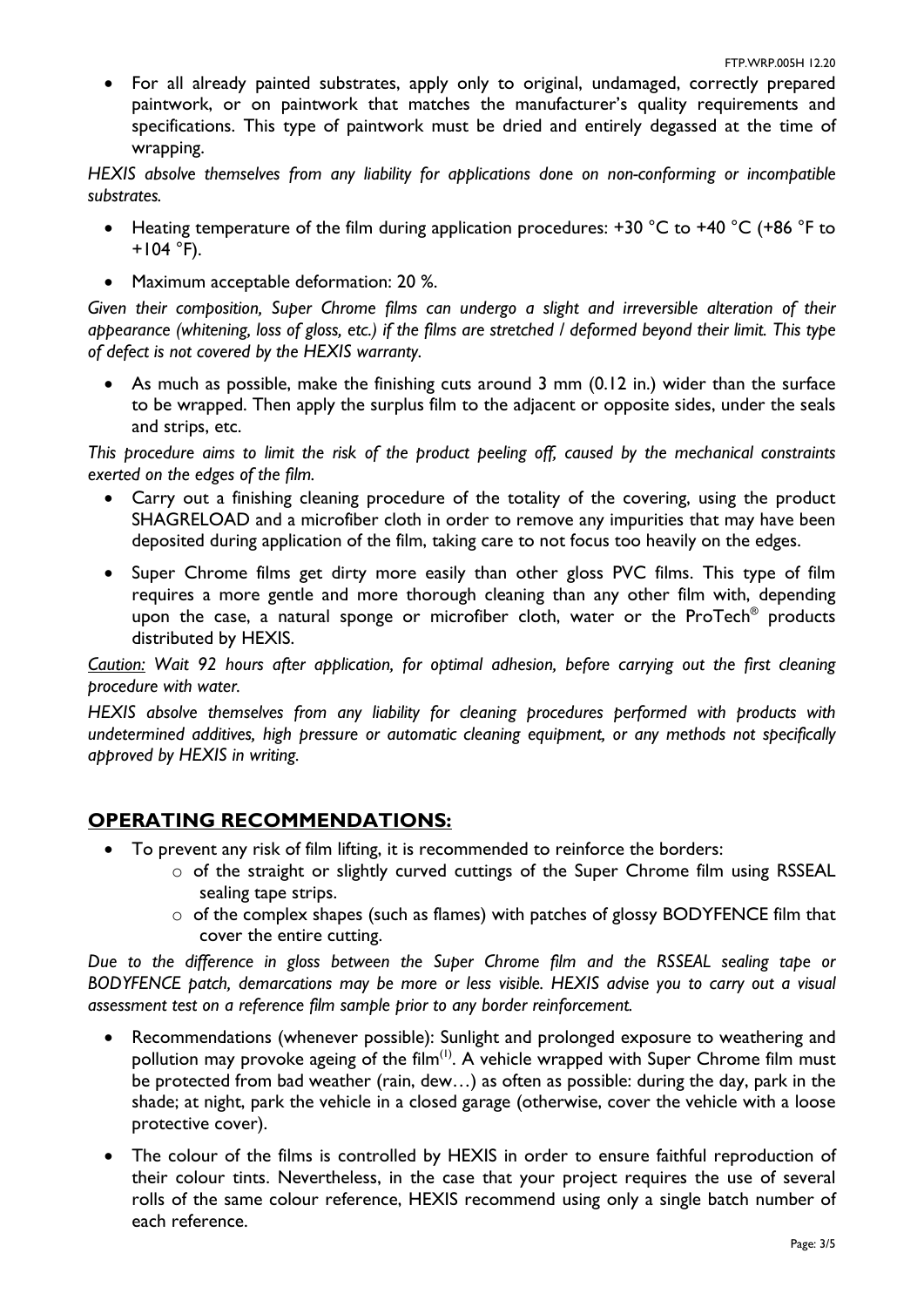• For all already painted substrates, apply only to original, undamaged, correctly prepared paintwork, or on paintwork that matches the manufacturer's quality requirements and specifications. This type of paintwork must be dried and entirely degassed at the time of wrapping.

*HEXIS absolve themselves from any liability for applications done on non-conforming or incompatible substrates.*

- Heating temperature of the film during application procedures: +30 °C to +40 °C (+86 °F to  $+104$  °F).
- Maximum acceptable deformation: 20 %.

*Given their composition, Super Chrome films can undergo a slight and irreversible alteration of their appearance (whitening, loss of gloss, etc.) if the films are stretched / deformed beyond their limit. This type of defect is not covered by the HEXIS warranty.*

• As much as possible, make the finishing cuts around 3 mm (0.12 in.) wider than the surface to be wrapped. Then apply the surplus film to the adjacent or opposite sides, under the seals and strips, etc.

*This procedure aims to limit the risk of the product peeling off, caused by the mechanical constraints exerted on the edges of the film.*

- Carry out a finishing cleaning procedure of the totality of the covering, using the product SHAGRELOAD and a microfiber cloth in order to remove any impurities that may have been deposited during application of the film, taking care to not focus too heavily on the edges.
- Super Chrome films get dirty more easily than other gloss PVC films. This type of film requires a more gentle and more thorough cleaning than any other film with, depending upon the case, a natural sponge or microfiber cloth, water or the ProTech® products distributed by HEXIS.

*Caution: Wait 92 hours after application, for optimal adhesion, before carrying out the first cleaning procedure with water.*

*HEXIS absolve themselves from any liability for cleaning procedures performed with products with undetermined additives, high pressure or automatic cleaning equipment, or any methods not specifically approved by HEXIS in writing.*

# **OPERATING RECOMMENDATIONS:**

- To prevent any risk of film lifting, it is recommended to reinforce the borders:
	- o of the straight or slightly curved cuttings of the Super Chrome film using RSSEAL sealing tape strips.
	- $\circ$  of the complex shapes (such as flames) with patches of glossy BODYFENCE film that cover the entire cutting.

*Due to the difference in gloss between the Super Chrome film and the RSSEAL sealing tape or BODYFENCE patch, demarcations may be more or less visible. HEXIS advise you to carry out a visual assessment test on a reference film sample prior to any border reinforcement.*

- Recommendations (whenever possible): Sunlight and prolonged exposure to weathering and pollution may provoke ageing of the film<sup>(1)</sup>. A vehicle wrapped with Super Chrome film must be protected from bad weather (rain, dew…) as often as possible: during the day, park in the shade; at night, park the vehicle in a closed garage (otherwise, cover the vehicle with a loose protective cover).
- The colour of the films is controlled by HEXIS in order to ensure faithful reproduction of their colour tints. Nevertheless, in the case that your project requires the use of several rolls of the same colour reference, HEXIS recommend using only a single batch number of each reference.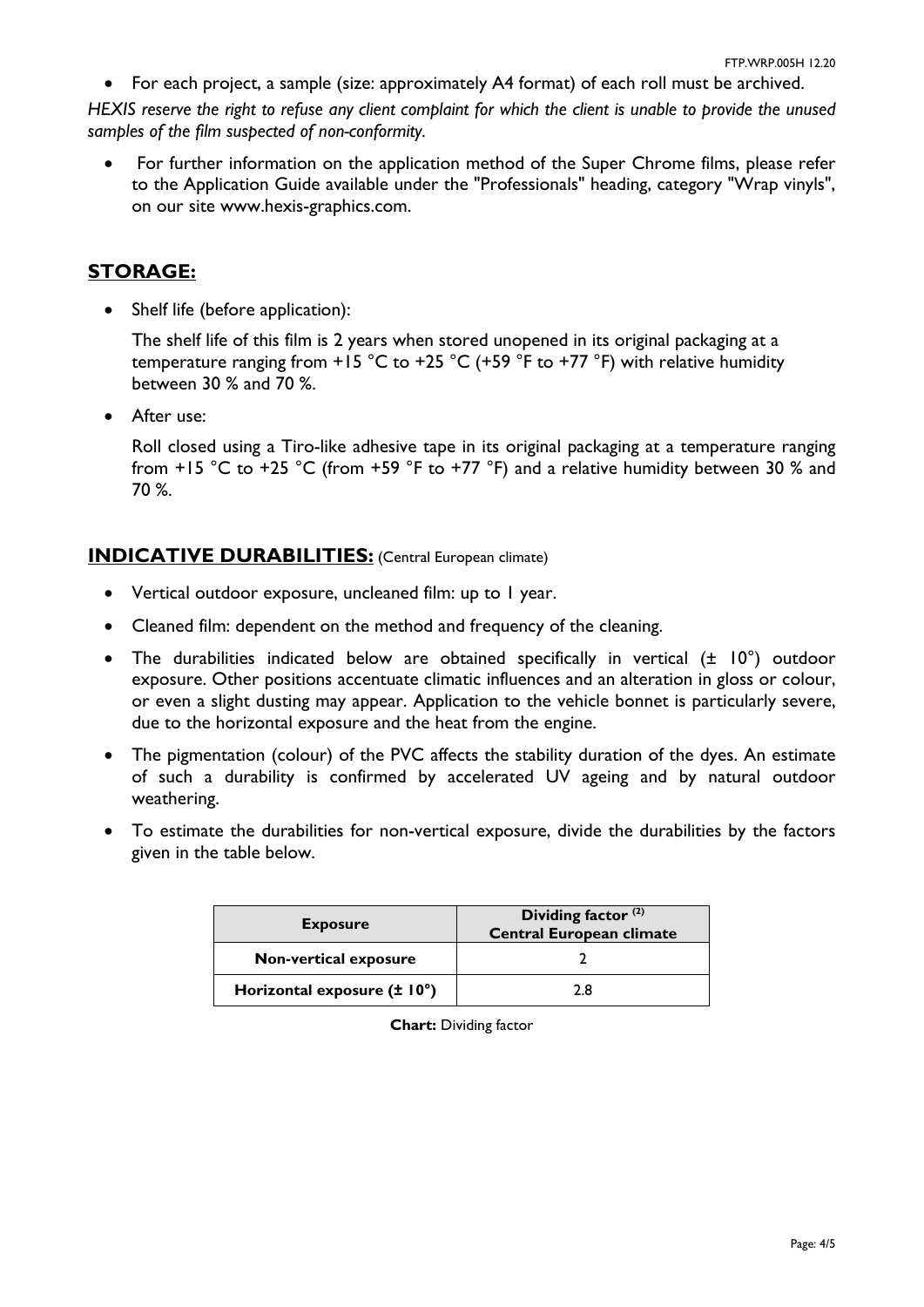• For each project, a sample (size: approximately A4 format) of each roll must be archived.

*HEXIS reserve the right to refuse any client complaint for which the client is unable to provide the unused samples of the film suspected of non-conformity.*

• For further information on the application method of the Super Chrome films, please refer to the Application Guide available under the "Professionals" heading, category "Wrap vinyls", on our site www.hexis-graphics.com.

# **STORAGE:**

• Shelf life (before application):

The shelf life of this film is 2 years when stored unopened in its original packaging at a temperature ranging from  $+15$  °C to  $+25$  °C ( $+59$  °F to  $+77$  °F) with relative humidity between 30 % and 70 %.

• After use:

Roll closed using a Tiro-like adhesive tape in its original packaging at a temperature ranging from +15 °C to +25 °C (from +59 °F to +77 °F) and a relative humidity between 30 % and 70 %.

# **INDICATIVE DURABILITIES:** (Central European climate)

- Vertical outdoor exposure, uncleaned film: up to 1 year.
- Cleaned film: dependent on the method and frequency of the cleaning.
- The durabilities indicated below are obtained specifically in vertical  $(\pm 10^{\circ})$  outdoor exposure. Other positions accentuate climatic influences and an alteration in gloss or colour, or even a slight dusting may appear. Application to the vehicle bonnet is particularly severe, due to the horizontal exposure and the heat from the engine.
- The pigmentation (colour) of the PVC affects the stability duration of the dyes. An estimate of such a durability is confirmed by accelerated UV ageing and by natural outdoor weathering.
- To estimate the durabilities for non-vertical exposure, divide the durabilities by the factors given in the table below.

| <b>Exposure</b>             | Dividing factor $(2)$<br><b>Central European climate</b> |  |
|-----------------------------|----------------------------------------------------------|--|
| Non-vertical exposure       |                                                          |  |
| Horizontal exposure (± 10°) | 2 8                                                      |  |

**Chart:** Dividing factor